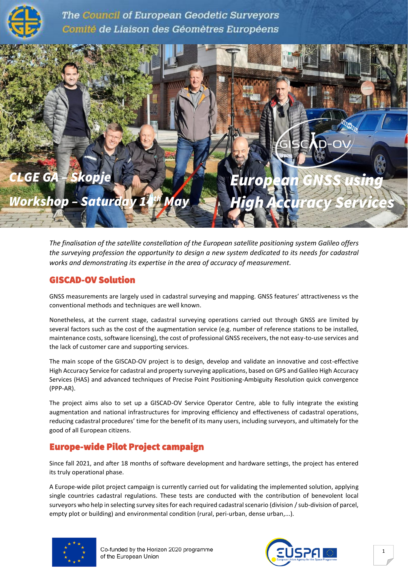

The Council of European Geodetic Surveyors Comité de Liaison des Géomètres Européens



*The finalisation of the satellite constellation of the European satellite positioning system Galileo offers the surveying profession the opportunity to design a new system dedicated to its needs for cadastral works and demonstrating its expertise in the area of accuracy of measurement.*

### GISCAD-OV Solution

GNSS measurements are largely used in cadastral surveying and mapping. GNSS features' attractiveness vs the conventional methods and techniques are well known.

Nonetheless, at the current stage, cadastral surveying operations carried out through GNSS are limited by several factors such as the cost of the augmentation service (e.g. number of reference stations to be installed, maintenance costs, software licensing), the cost of professional GNSS receivers, the not easy-to-use services and the lack of customer care and supporting services.

The main scope of the GISCAD-OV project is to design, develop and validate an innovative and cost-effective High Accuracy Service for cadastral and property surveying applications, based on GPS and Galileo High Accuracy Services (HAS) and advanced techniques of Precise Point Positioning-Ambiguity Resolution quick convergence (PPP-AR).

The project aims also to set up a GISCAD-OV Service Operator Centre, able to fully integrate the existing augmentation and national infrastructures for improving efficiency and effectiveness of cadastral operations, reducing cadastral procedures' time for the benefit of its many users, including surveyors, and ultimately for the good of all European citizens.

# Europe-wide Pilot Project campaign

Since fall 2021, and after 18 months of software development and hardware settings, the project has entered its truly operational phase.

A Europe-wide pilot project campaign is currently carried out for validating the implemented solution, applying single countries cadastral regulations. These tests are conducted with the contribution of benevolent local surveyors who help in selecting survey sites for each required cadastral scenario (division / sub-division of parcel, empty plot or building) and environmental condition (rural, peri-urban, dense urban,...).